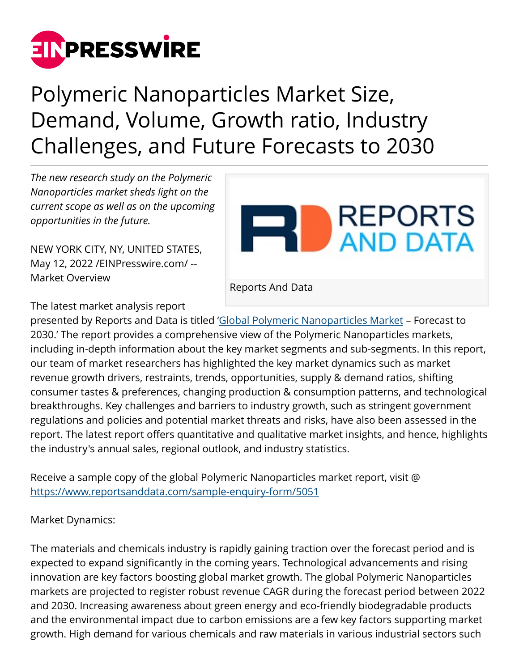

## Polymeric Nanoparticles Market Size, Demand, Volume, Growth ratio, Industry Challenges, and Future Forecasts to 2030

*The new research study on the Polymeric Nanoparticles market sheds light on the current scope as well as on the upcoming opportunities in the future.*

NEW YORK CITY, NY, UNITED STATES, May 12, 2022 [/EINPresswire.com](http://www.einpresswire.com)/ -- Market Overview



The latest market analysis report

presented by Reports and Data is titled ['Global Polymeric Nanoparticles Market](https://www.reportsanddata.com/report-detail/polymeric-nanoparticles-market) – Forecast to 2030.' The report provides a comprehensive view of the Polymeric Nanoparticles markets, including in-depth information about the key market segments and sub-segments. In this report, our team of market researchers has highlighted the key market dynamics such as market revenue growth drivers, restraints, trends, opportunities, supply & demand ratios, shifting consumer tastes & preferences, changing production & consumption patterns, and technological breakthroughs. Key challenges and barriers to industry growth, such as stringent government regulations and policies and potential market threats and risks, have also been assessed in the report. The latest report offers quantitative and qualitative market insights, and hence, highlights the industry's annual sales, regional outlook, and industry statistics.

Receive a sample copy of the global Polymeric Nanoparticles market report, visit @ <https://www.reportsanddata.com/sample-enquiry-form/5051>

Market Dynamics:

The materials and chemicals industry is rapidly gaining traction over the forecast period and is expected to expand significantly in the coming years. Technological advancements and rising innovation are key factors boosting global market growth. The global Polymeric Nanoparticles markets are projected to register robust revenue CAGR during the forecast period between 2022 and 2030. Increasing awareness about green energy and eco-friendly biodegradable products and the environmental impact due to carbon emissions are a few key factors supporting market growth. High demand for various chemicals and raw materials in various industrial sectors such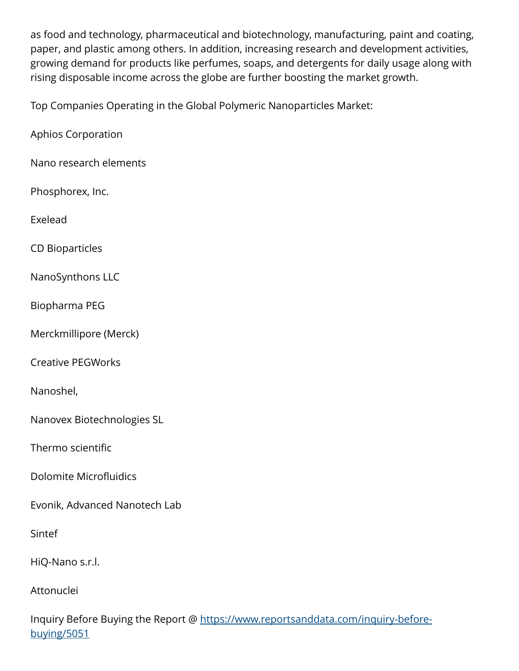as food and technology, pharmaceutical and biotechnology, manufacturing, paint and coating, paper, and plastic among others. In addition, increasing research and development activities, growing demand for products like perfumes, soaps, and detergents for daily usage along with rising disposable income across the globe are further boosting the market growth.

Top Companies Operating in the Global Polymeric Nanoparticles Market:

Aphios Corporation

Nano research elements

Phosphorex, Inc.

Exelead

CD Bioparticles

NanoSynthons LLC

Biopharma PEG

Merckmillipore (Merck)

Creative PEGWorks

Nanoshel,

Nanovex Biotechnologies SL

Thermo scientific

Dolomite Microfluidics

Evonik, Advanced Nanotech Lab

Sintef

HiQ-Nano s.r.l.

Attonuclei

Inquiry Before Buying the Report @ [https://www.reportsanddata.com/inquiry-before](https://www.reportsanddata.com/inquiry-before-buying/5051)[buying/5051](https://www.reportsanddata.com/inquiry-before-buying/5051)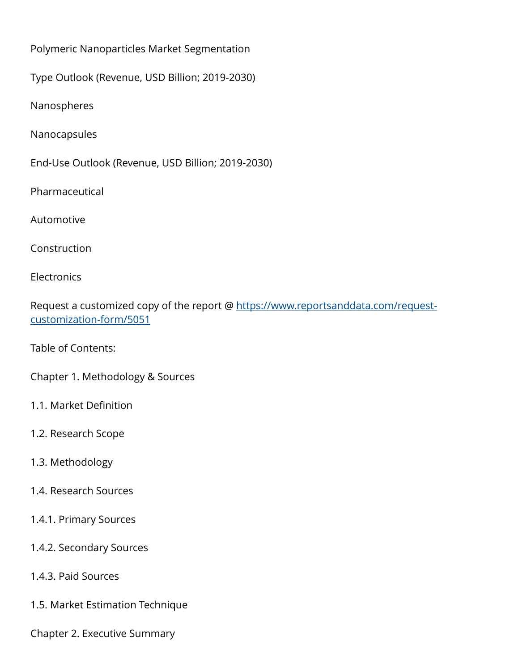Polymeric Nanoparticles Market Segmentation

Type Outlook (Revenue, USD Billion; 2019-2030)

Nanospheres

Nanocapsules

End-Use Outlook (Revenue, USD Billion; 2019-2030)

Pharmaceutical

Automotive

Construction

**Electronics** 

Request a customized copy of the report @ [https://www.reportsanddata.com/request](https://www.reportsanddata.com/request-customization-form/5051)[customization-form/5051](https://www.reportsanddata.com/request-customization-form/5051)

Table of Contents:

Chapter 1. Methodology & Sources

1.1. Market Definition

1.2. Research Scope

## 1.3. Methodology

1.4. Research Sources

1.4.1. Primary Sources

1.4.2. Secondary Sources

1.4.3. Paid Sources

1.5. Market Estimation Technique

Chapter 2. Executive Summary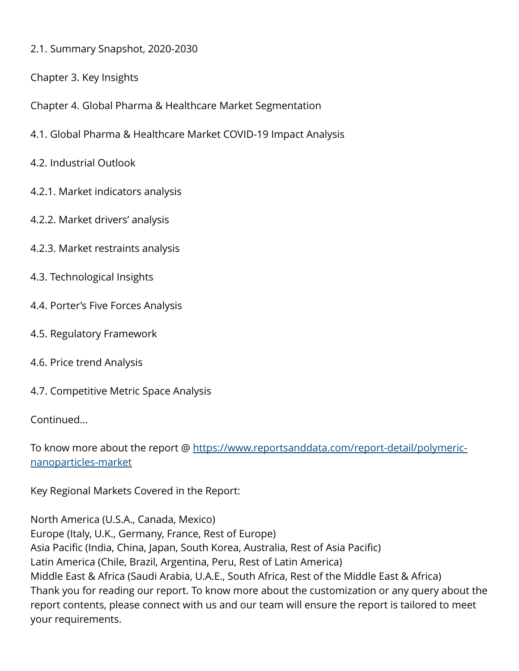- 2.1. Summary Snapshot, 2020-2030
- Chapter 3. Key Insights
- Chapter 4. Global Pharma & Healthcare Market Segmentation
- 4.1. Global Pharma & Healthcare Market COVID-19 Impact Analysis
- 4.2. Industrial Outlook
- 4.2.1. Market indicators analysis
- 4.2.2. Market drivers' analysis
- 4.2.3. Market restraints analysis
- 4.3. Technological Insights
- 4.4. Porter's Five Forces Analysis
- 4.5. Regulatory Framework
- 4.6. Price trend Analysis
- 4.7. Competitive Metric Space Analysis

Continued...

To know more about the report @ [https://www.reportsanddata.com/report-detail/polymeric](https://www.reportsanddata.com/report-detail/polymeric-nanoparticles-market)[nanoparticles-market](https://www.reportsanddata.com/report-detail/polymeric-nanoparticles-market)

Key Regional Markets Covered in the Report:

North America (U.S.A., Canada, Mexico) Europe (Italy, U.K., Germany, France, Rest of Europe) Asia Pacific (India, China, Japan, South Korea, Australia, Rest of Asia Pacific) Latin America (Chile, Brazil, Argentina, Peru, Rest of Latin America) Middle East & Africa (Saudi Arabia, U.A.E., South Africa, Rest of the Middle East & Africa) Thank you for reading our report. To know more about the customization or any query about the report contents, please connect with us and our team will ensure the report is tailored to meet your requirements.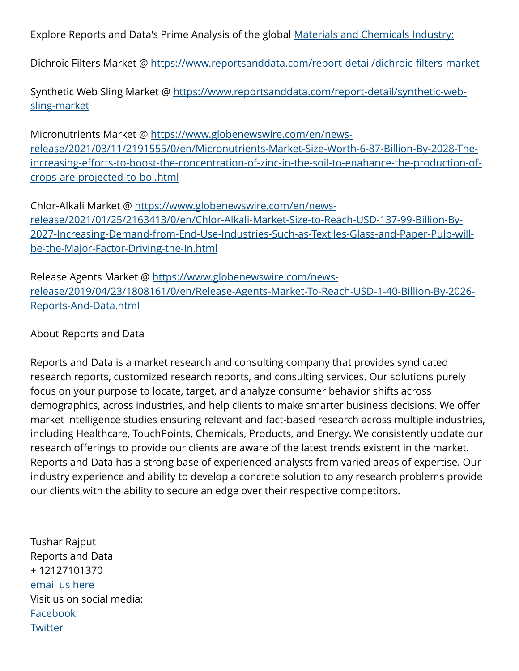Explore Reports and Data's Prime Analysis of the global [Materials and Chemicals Industry:](https://www.reportsanddata.com/report/category/materials-and-chemicals)

Dichroic Filters Market @ <https://www.reportsanddata.com/report-detail/dichroic-filters-market>

Synthetic Web Sling Market @ [https://www.reportsanddata.com/report-detail/synthetic-web](https://www.reportsanddata.com/report-detail/synthetic-web-sling-market)[sling-market](https://www.reportsanddata.com/report-detail/synthetic-web-sling-market)

Micronutrients Market @ [https://www.globenewswire.com/en/news](https://www.globenewswire.com/en/news-release/2021/03/11/2191555/0/en/Micronutrients-Market-Size-Worth-6-87-Billion-By-2028-The-increasing-efforts-to-boost-the-concentration-of-zinc-in-the-soil-to-enahance-the-production-of-crops-are-projected-to-bol.html)[release/2021/03/11/2191555/0/en/Micronutrients-Market-Size-Worth-6-87-Billion-By-2028-The](https://www.globenewswire.com/en/news-release/2021/03/11/2191555/0/en/Micronutrients-Market-Size-Worth-6-87-Billion-By-2028-The-increasing-efforts-to-boost-the-concentration-of-zinc-in-the-soil-to-enahance-the-production-of-crops-are-projected-to-bol.html)[increasing-efforts-to-boost-the-concentration-of-zinc-in-the-soil-to-enahance-the-production-of](https://www.globenewswire.com/en/news-release/2021/03/11/2191555/0/en/Micronutrients-Market-Size-Worth-6-87-Billion-By-2028-The-increasing-efforts-to-boost-the-concentration-of-zinc-in-the-soil-to-enahance-the-production-of-crops-are-projected-to-bol.html)[crops-are-projected-to-bol.html](https://www.globenewswire.com/en/news-release/2021/03/11/2191555/0/en/Micronutrients-Market-Size-Worth-6-87-Billion-By-2028-The-increasing-efforts-to-boost-the-concentration-of-zinc-in-the-soil-to-enahance-the-production-of-crops-are-projected-to-bol.html)

Chlor-Alkali Market @ [https://www.globenewswire.com/en/news](https://www.globenewswire.com/en/news-release/2021/01/25/2163413/0/en/Chlor-Alkali-Market-Size-to-Reach-USD-137-99-Billion-By-2027-Increasing-Demand-from-End-Use-Industries-Such-as-Textiles-Glass-and-Paper-Pulp-will-be-the-Major-Factor-Driving-the-In.html)[release/2021/01/25/2163413/0/en/Chlor-Alkali-Market-Size-to-Reach-USD-137-99-Billion-By-](https://www.globenewswire.com/en/news-release/2021/01/25/2163413/0/en/Chlor-Alkali-Market-Size-to-Reach-USD-137-99-Billion-By-2027-Increasing-Demand-from-End-Use-Industries-Such-as-Textiles-Glass-and-Paper-Pulp-will-be-the-Major-Factor-Driving-the-In.html)[2027-Increasing-Demand-from-End-Use-Industries-Such-as-Textiles-Glass-and-Paper-Pulp-will](https://www.globenewswire.com/en/news-release/2021/01/25/2163413/0/en/Chlor-Alkali-Market-Size-to-Reach-USD-137-99-Billion-By-2027-Increasing-Demand-from-End-Use-Industries-Such-as-Textiles-Glass-and-Paper-Pulp-will-be-the-Major-Factor-Driving-the-In.html)[be-the-Major-Factor-Driving-the-In.html](https://www.globenewswire.com/en/news-release/2021/01/25/2163413/0/en/Chlor-Alkali-Market-Size-to-Reach-USD-137-99-Billion-By-2027-Increasing-Demand-from-End-Use-Industries-Such-as-Textiles-Glass-and-Paper-Pulp-will-be-the-Major-Factor-Driving-the-In.html)

Release Agents Market @ [https://www.globenewswire.com/news](https://www.globenewswire.com/news-release/2019/04/23/1808161/0/en/Release-Agents-Market-To-Reach-USD-1-40-Billion-By-2026-Reports-And-Data.html)[release/2019/04/23/1808161/0/en/Release-Agents-Market-To-Reach-USD-1-40-Billion-By-2026-](https://www.globenewswire.com/news-release/2019/04/23/1808161/0/en/Release-Agents-Market-To-Reach-USD-1-40-Billion-By-2026-Reports-And-Data.html) [Reports-And-Data.html](https://www.globenewswire.com/news-release/2019/04/23/1808161/0/en/Release-Agents-Market-To-Reach-USD-1-40-Billion-By-2026-Reports-And-Data.html)

## About Reports and Data

Reports and Data is a market research and consulting company that provides syndicated research reports, customized research reports, and consulting services. Our solutions purely focus on your purpose to locate, target, and analyze consumer behavior shifts across demographics, across industries, and help clients to make smarter business decisions. We offer market intelligence studies ensuring relevant and fact-based research across multiple industries, including Healthcare, TouchPoints, Chemicals, Products, and Energy. We consistently update our research offerings to provide our clients are aware of the latest trends existent in the market. Reports and Data has a strong base of experienced analysts from varied areas of expertise. Our industry experience and ability to develop a concrete solution to any research problems provide our clients with the ability to secure an edge over their respective competitors.

Tushar Rajput Reports and Data + 12127101370 [email us here](http://www.einpresswire.com/contact_author/3482500) Visit us on social media: [Facebook](https://www.facebook.com/reportsanddata) **[Twitter](https://twitter.com/reportsanddata)**